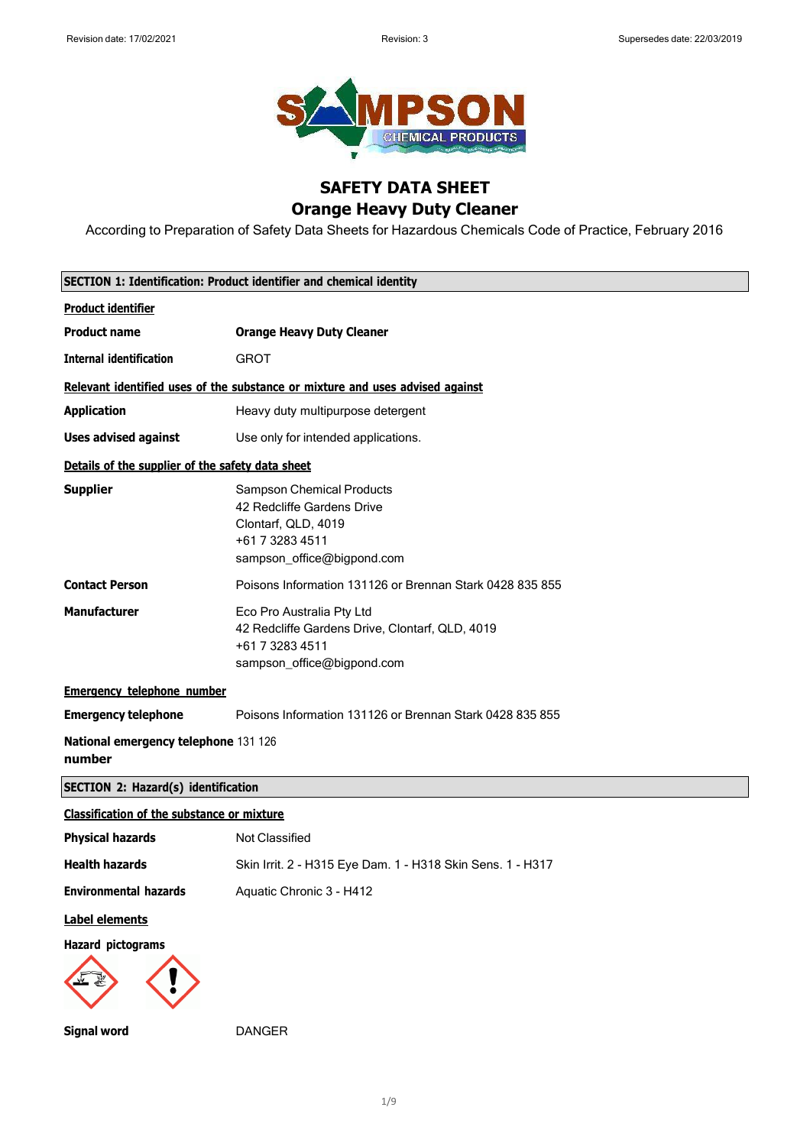

## **SAFETY DATA SHEET Orange Heavy Duty Cleaner**

According to Preparation of Safety Data Sheets for Hazardous Chemicals Code of Practice, February 2016

|                                                   | SECTION 1: Identification: Product identifier and chemical identity                                                                    |  |
|---------------------------------------------------|----------------------------------------------------------------------------------------------------------------------------------------|--|
| <b>Product identifier</b>                         |                                                                                                                                        |  |
| <b>Product name</b>                               | <b>Orange Heavy Duty Cleaner</b>                                                                                                       |  |
| <b>Internal identification</b>                    | <b>GROT</b>                                                                                                                            |  |
|                                                   | Relevant identified uses of the substance or mixture and uses advised against                                                          |  |
| <b>Application</b>                                | Heavy duty multipurpose detergent                                                                                                      |  |
| <b>Uses advised against</b>                       | Use only for intended applications.                                                                                                    |  |
| Details of the supplier of the safety data sheet  |                                                                                                                                        |  |
| <b>Supplier</b>                                   | <b>Sampson Chemical Products</b><br>42 Redcliffe Gardens Drive<br>Clontarf, QLD, 4019<br>+61 7 3283 4511<br>sampson_office@bigpond.com |  |
| <b>Contact Person</b>                             | Poisons Information 131126 or Brennan Stark 0428 835 855                                                                               |  |
| <b>Manufacturer</b>                               | Eco Pro Australia Pty Ltd<br>42 Redcliffe Gardens Drive, Clontarf, QLD, 4019<br>+61 7 3283 4511<br>sampson_office@bigpond.com          |  |
| <b>Emergency telephone number</b>                 |                                                                                                                                        |  |
| <b>Emergency telephone</b>                        | Poisons Information 131126 or Brennan Stark 0428 835 855                                                                               |  |
| National emergency telephone 131 126<br>number    |                                                                                                                                        |  |
| <b>SECTION 2: Hazard(s) identification</b>        |                                                                                                                                        |  |
| <b>Classification of the substance or mixture</b> |                                                                                                                                        |  |
| <b>Physical hazards</b>                           | Not Classified                                                                                                                         |  |
| <b>Health hazards</b>                             | Skin Irrit. 2 - H315 Eye Dam. 1 - H318 Skin Sens. 1 - H317                                                                             |  |
| <b>Environmental hazards</b>                      | Aquatic Chronic 3 - H412                                                                                                               |  |
| <b>Label elements</b>                             |                                                                                                                                        |  |
| <b>Hazard pictograms</b>                          |                                                                                                                                        |  |
| <b>Signal word</b>                                | <b>DANGER</b>                                                                                                                          |  |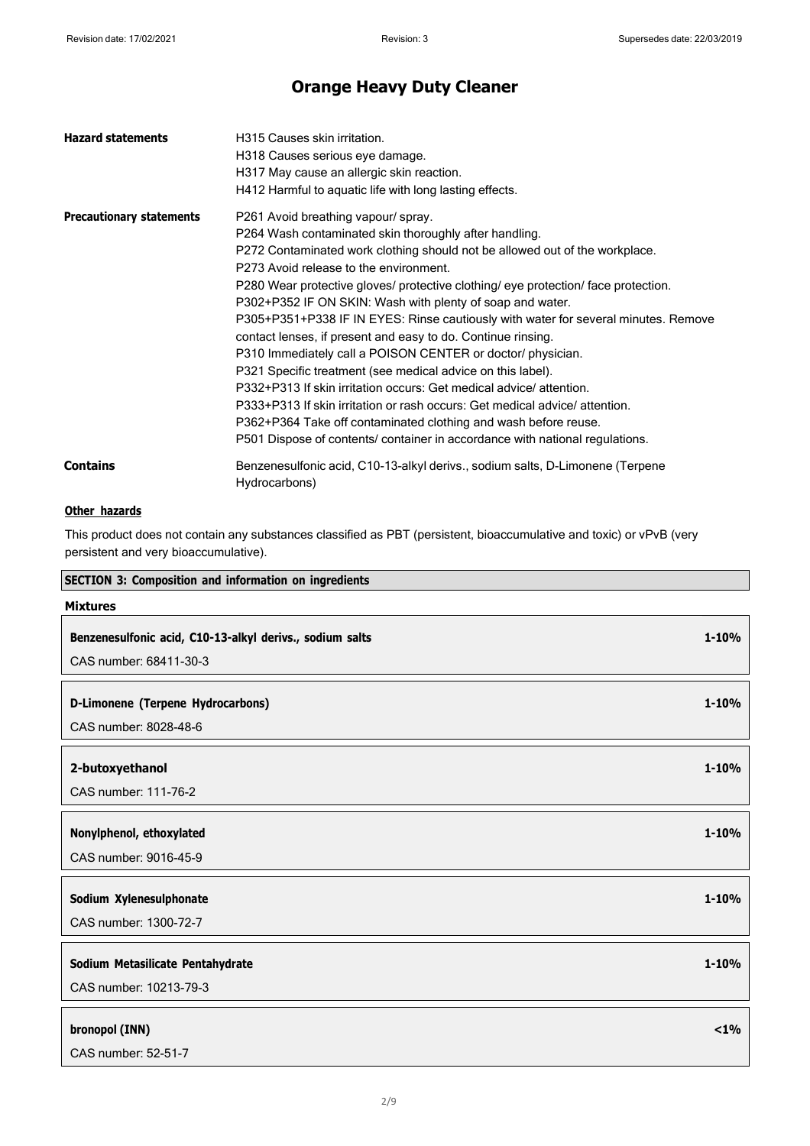| <b>Hazard statements</b>        | H315 Causes skin irritation.<br>H318 Causes serious eye damage.<br>H317 May cause an allergic skin reaction.<br>H412 Harmful to aquatic life with long lasting effects.                                                                                                                                                                                                                                                                                                                                                                                                                                                                                                                                                                                                                                                                                                                                                                                              |
|---------------------------------|----------------------------------------------------------------------------------------------------------------------------------------------------------------------------------------------------------------------------------------------------------------------------------------------------------------------------------------------------------------------------------------------------------------------------------------------------------------------------------------------------------------------------------------------------------------------------------------------------------------------------------------------------------------------------------------------------------------------------------------------------------------------------------------------------------------------------------------------------------------------------------------------------------------------------------------------------------------------|
| <b>Precautionary statements</b> | P261 Avoid breathing vapour/ spray.<br>P264 Wash contaminated skin thoroughly after handling.<br>P272 Contaminated work clothing should not be allowed out of the workplace.<br>P273 Avoid release to the environment.<br>P280 Wear protective gloves/ protective clothing/ eye protection/ face protection.<br>P302+P352 IF ON SKIN: Wash with plenty of soap and water.<br>P305+P351+P338 IF IN EYES: Rinse cautiously with water for several minutes. Remove<br>contact lenses, if present and easy to do. Continue rinsing.<br>P310 Immediately call a POISON CENTER or doctor/ physician.<br>P321 Specific treatment (see medical advice on this label).<br>P332+P313 If skin irritation occurs: Get medical advice/attention.<br>P333+P313 If skin irritation or rash occurs: Get medical advice/attention.<br>P362+P364 Take off contaminated clothing and wash before reuse.<br>P501 Dispose of contents/ container in accordance with national regulations. |
| <b>Contains</b>                 | Benzenesulfonic acid, C10-13-alkyl derivs., sodium salts, D-Limonene (Terpene<br>Hydrocarbons)                                                                                                                                                                                                                                                                                                                                                                                                                                                                                                                                                                                                                                                                                                                                                                                                                                                                       |

## **Other hazards**

 $\mathbf{r}$ 

This product does not contain any substances classified as PBT (persistent, bioaccumulative and toxic) or vPvB (very persistent and very bioaccumulative).

| <b>SECTION 3: Composition and information on ingredients</b> |           |
|--------------------------------------------------------------|-----------|
| <b>Mixtures</b>                                              |           |
| Benzenesulfonic acid, C10-13-alkyl derivs., sodium salts     | $1 - 10%$ |
| CAS number: 68411-30-3                                       |           |
|                                                              |           |
| D-Limonene (Terpene Hydrocarbons)                            | $1 - 10%$ |
| CAS number: 8028-48-6                                        |           |
|                                                              |           |
| 2-butoxyethanol                                              | $1 - 10%$ |
| CAS number: 111-76-2                                         |           |
| Nonylphenol, ethoxylated                                     | $1 - 10%$ |
| CAS number: 9016-45-9                                        |           |
| Sodium Xylenesulphonate                                      | $1 - 10%$ |
| CAS number: 1300-72-7                                        |           |
|                                                              |           |
| Sodium Metasilicate Pentahydrate                             | $1 - 10%$ |
| CAS number: 10213-79-3                                       |           |
| bronopol (INN)                                               | $< 1\%$   |
| CAS number: 52-51-7                                          |           |
|                                                              |           |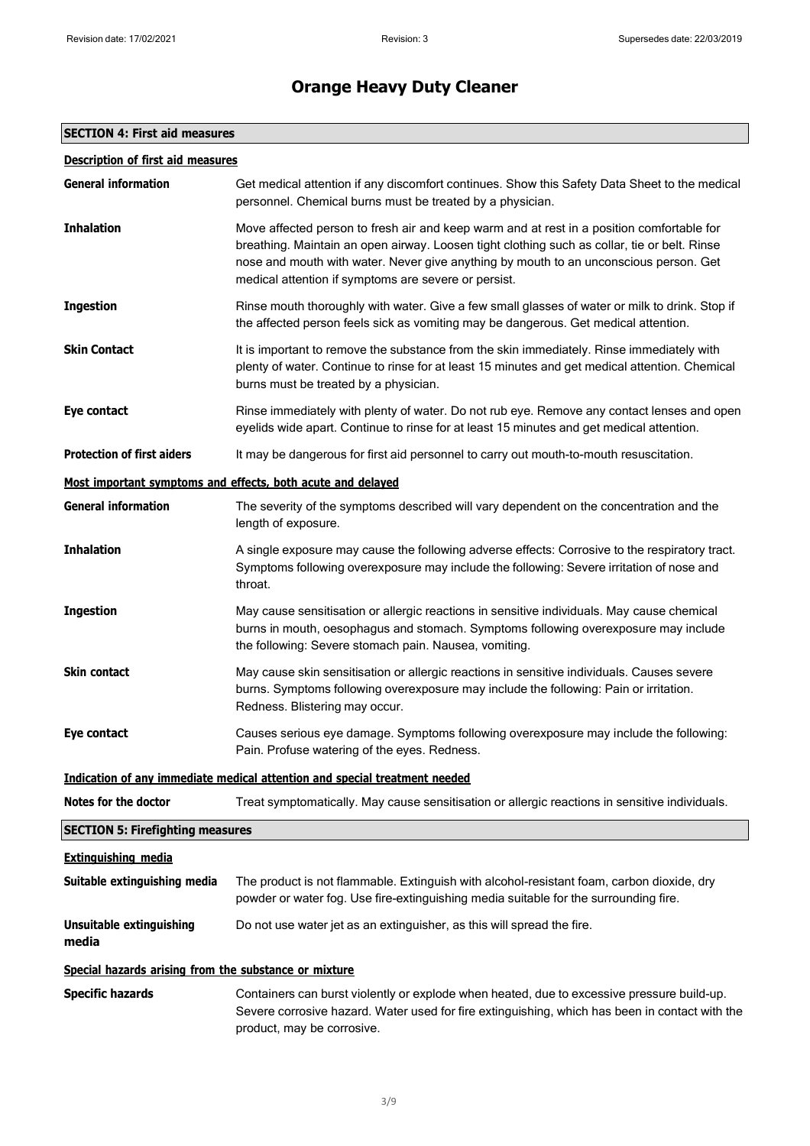## **SECTION 4: First aid measures**

| <b>General information</b>                            | Get medical attention if any discomfort continues. Show this Safety Data Sheet to the medical<br>personnel. Chemical burns must be treated by a physician.                                                                                                                                                                                 |
|-------------------------------------------------------|--------------------------------------------------------------------------------------------------------------------------------------------------------------------------------------------------------------------------------------------------------------------------------------------------------------------------------------------|
| <b>Inhalation</b>                                     | Move affected person to fresh air and keep warm and at rest in a position comfortable for<br>breathing. Maintain an open airway. Loosen tight clothing such as collar, tie or belt. Rinse<br>nose and mouth with water. Never give anything by mouth to an unconscious person. Get<br>medical attention if symptoms are severe or persist. |
| <b>Ingestion</b>                                      | Rinse mouth thoroughly with water. Give a few small glasses of water or milk to drink. Stop if<br>the affected person feels sick as vomiting may be dangerous. Get medical attention.                                                                                                                                                      |
| <b>Skin Contact</b>                                   | It is important to remove the substance from the skin immediately. Rinse immediately with<br>plenty of water. Continue to rinse for at least 15 minutes and get medical attention. Chemical<br>burns must be treated by a physician.                                                                                                       |
| Eye contact                                           | Rinse immediately with plenty of water. Do not rub eye. Remove any contact lenses and open<br>eyelids wide apart. Continue to rinse for at least 15 minutes and get medical attention.                                                                                                                                                     |
| <b>Protection of first aiders</b>                     | It may be dangerous for first aid personnel to carry out mouth-to-mouth resuscitation.                                                                                                                                                                                                                                                     |
|                                                       | Most important symptoms and effects, both acute and delayed                                                                                                                                                                                                                                                                                |
| <b>General information</b>                            | The severity of the symptoms described will vary dependent on the concentration and the<br>length of exposure.                                                                                                                                                                                                                             |
| <b>Inhalation</b>                                     | A single exposure may cause the following adverse effects: Corrosive to the respiratory tract.<br>Symptoms following overexposure may include the following: Severe irritation of nose and<br>throat.                                                                                                                                      |
| <b>Ingestion</b>                                      | May cause sensitisation or allergic reactions in sensitive individuals. May cause chemical<br>burns in mouth, oesophagus and stomach. Symptoms following overexposure may include<br>the following: Severe stomach pain. Nausea, vomiting.                                                                                                 |
| <b>Skin contact</b>                                   | May cause skin sensitisation or allergic reactions in sensitive individuals. Causes severe<br>burns. Symptoms following overexposure may include the following: Pain or irritation.<br>Redness. Blistering may occur.                                                                                                                      |
| Eye contact                                           | Causes serious eye damage. Symptoms following overexposure may include the following:<br>Pain. Profuse watering of the eyes. Redness.                                                                                                                                                                                                      |
|                                                       | Indication of any immediate medical attention and special treatment needed                                                                                                                                                                                                                                                                 |
| <b>Notes for the doctor</b>                           | Treat symptomatically. May cause sensitisation or allergic reactions in sensitive individuals.                                                                                                                                                                                                                                             |
| <b>SECTION 5: Firefighting measures</b>               |                                                                                                                                                                                                                                                                                                                                            |
| <b>Extinguishing media</b>                            |                                                                                                                                                                                                                                                                                                                                            |
| Suitable extinguishing media                          | The product is not flammable. Extinguish with alcohol-resistant foam, carbon dioxide, dry<br>powder or water fog. Use fire-extinguishing media suitable for the surrounding fire.                                                                                                                                                          |
| <b>Unsuitable extinguishing</b><br>media              | Do not use water jet as an extinguisher, as this will spread the fire.                                                                                                                                                                                                                                                                     |
| Special hazards arising from the substance or mixture |                                                                                                                                                                                                                                                                                                                                            |
| <b>Specific hazards</b>                               | Containers can burst violently or explode when heated, due to excessive pressure build-up.<br>Severe corrosive hazard. Water used for fire extinguishing, which has been in contact with the<br>product, may be corrosive.                                                                                                                 |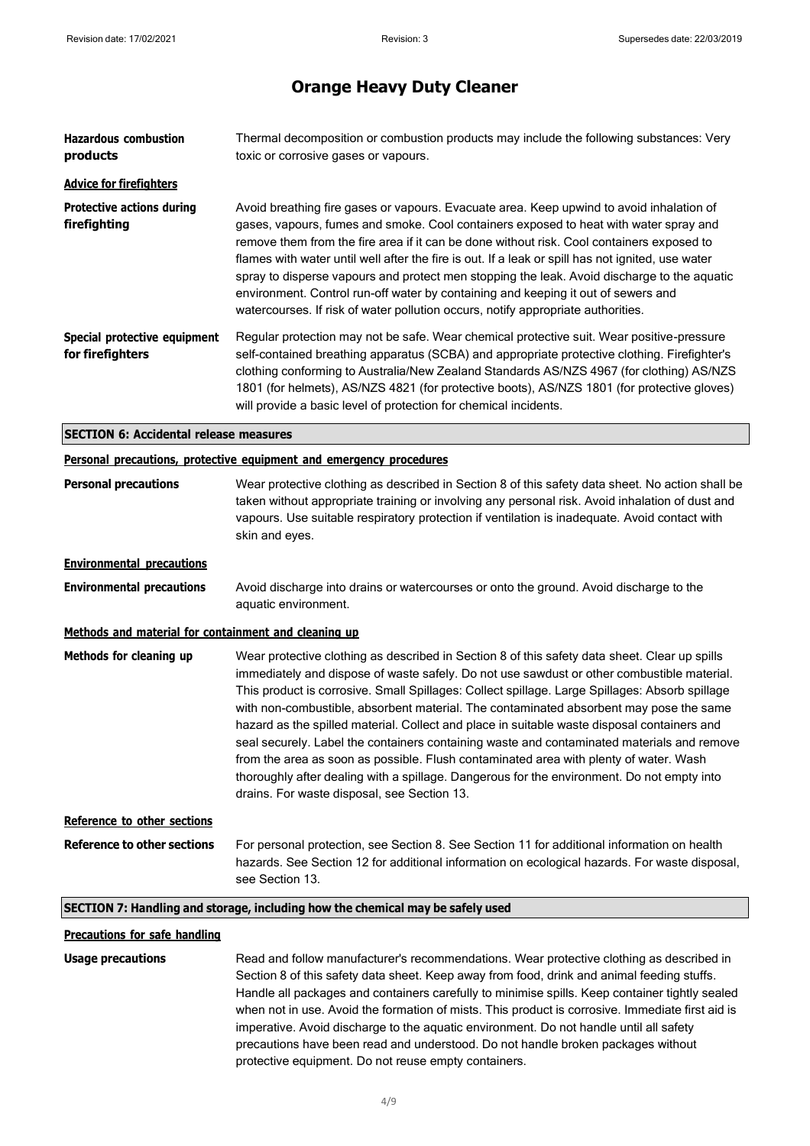| <b>Hazardous combustion</b><br>products              | Thermal decomposition or combustion products may include the following substances: Very<br>toxic or corrosive gases or vapours.                                                                                                                                                                                                                                                                                                                                                                                                                                                                                                                                                                                                                                                                                            |
|------------------------------------------------------|----------------------------------------------------------------------------------------------------------------------------------------------------------------------------------------------------------------------------------------------------------------------------------------------------------------------------------------------------------------------------------------------------------------------------------------------------------------------------------------------------------------------------------------------------------------------------------------------------------------------------------------------------------------------------------------------------------------------------------------------------------------------------------------------------------------------------|
| <b>Advice for firefighters</b>                       |                                                                                                                                                                                                                                                                                                                                                                                                                                                                                                                                                                                                                                                                                                                                                                                                                            |
| <b>Protective actions during</b><br>firefighting     | Avoid breathing fire gases or vapours. Evacuate area. Keep upwind to avoid inhalation of<br>gases, vapours, fumes and smoke. Cool containers exposed to heat with water spray and<br>remove them from the fire area if it can be done without risk. Cool containers exposed to<br>flames with water until well after the fire is out. If a leak or spill has not ignited, use water<br>spray to disperse vapours and protect men stopping the leak. Avoid discharge to the aquatic<br>environment. Control run-off water by containing and keeping it out of sewers and<br>watercourses. If risk of water pollution occurs, notify appropriate authorities.                                                                                                                                                                |
| Special protective equipment<br>for firefighters     | Regular protection may not be safe. Wear chemical protective suit. Wear positive-pressure<br>self-contained breathing apparatus (SCBA) and appropriate protective clothing. Firefighter's<br>clothing conforming to Australia/New Zealand Standards AS/NZS 4967 (for clothing) AS/NZS<br>1801 (for helmets), AS/NZS 4821 (for protective boots), AS/NZS 1801 (for protective gloves)<br>will provide a basic level of protection for chemical incidents.                                                                                                                                                                                                                                                                                                                                                                   |
| <b>SECTION 6: Accidental release measures</b>        |                                                                                                                                                                                                                                                                                                                                                                                                                                                                                                                                                                                                                                                                                                                                                                                                                            |
|                                                      | <b>Personal precautions, protective equipment and emergency procedures</b>                                                                                                                                                                                                                                                                                                                                                                                                                                                                                                                                                                                                                                                                                                                                                 |
| <b>Personal precautions</b>                          | Wear protective clothing as described in Section 8 of this safety data sheet. No action shall be<br>taken without appropriate training or involving any personal risk. Avoid inhalation of dust and<br>vapours. Use suitable respiratory protection if ventilation is inadequate. Avoid contact with<br>skin and eyes.                                                                                                                                                                                                                                                                                                                                                                                                                                                                                                     |
| <b>Environmental precautions</b>                     |                                                                                                                                                                                                                                                                                                                                                                                                                                                                                                                                                                                                                                                                                                                                                                                                                            |
| <b>Environmental precautions</b>                     | Avoid discharge into drains or watercourses or onto the ground. Avoid discharge to the<br>aquatic environment.                                                                                                                                                                                                                                                                                                                                                                                                                                                                                                                                                                                                                                                                                                             |
| Methods and material for containment and cleaning up |                                                                                                                                                                                                                                                                                                                                                                                                                                                                                                                                                                                                                                                                                                                                                                                                                            |
| Methods for cleaning up                              | Wear protective clothing as described in Section 8 of this safety data sheet. Clear up spills<br>immediately and dispose of waste safely. Do not use sawdust or other combustible material.<br>This product is corrosive. Small Spillages: Collect spillage. Large Spillages: Absorb spillage<br>with non-combustible, absorbent material. The contaminated absorbent may pose the same<br>hazard as the spilled material. Collect and place in suitable waste disposal containers and<br>seal securely. Label the containers containing waste and contaminated materials and remove<br>from the area as soon as possible. Flush contaminated area with plenty of water. Wash<br>thoroughly after dealing with a spillage. Dangerous for the environment. Do not empty into<br>drains. For waste disposal, see Section 13. |
| Reference to other sections                          |                                                                                                                                                                                                                                                                                                                                                                                                                                                                                                                                                                                                                                                                                                                                                                                                                            |
| <b>Reference to other sections</b>                   | For personal protection, see Section 8. See Section 11 for additional information on health<br>hazards. See Section 12 for additional information on ecological hazards. For waste disposal,<br>see Section 13.                                                                                                                                                                                                                                                                                                                                                                                                                                                                                                                                                                                                            |
|                                                      | SECTION 7: Handling and storage, including how the chemical may be safely used                                                                                                                                                                                                                                                                                                                                                                                                                                                                                                                                                                                                                                                                                                                                             |
| <b>Precautions for safe handling</b>                 |                                                                                                                                                                                                                                                                                                                                                                                                                                                                                                                                                                                                                                                                                                                                                                                                                            |
| <b>Usage precautions</b>                             | Read and follow manufacturer's recommendations. Wear protective clothing as described in<br>Section 8 of this safety data sheet. Keep away from food, drink and animal feeding stuffs.<br>Handle all packages and containers carefully to minimise spills. Keep container tightly sealed<br>when not in use. Avoid the formation of mists. This product is corrosive. Immediate first aid is<br>imperative. Avoid discharge to the aquatic environment. Do not handle until all safety<br>precautions have been read and understood. Do not handle broken packages without<br>protective equipment. Do not reuse empty containers.                                                                                                                                                                                         |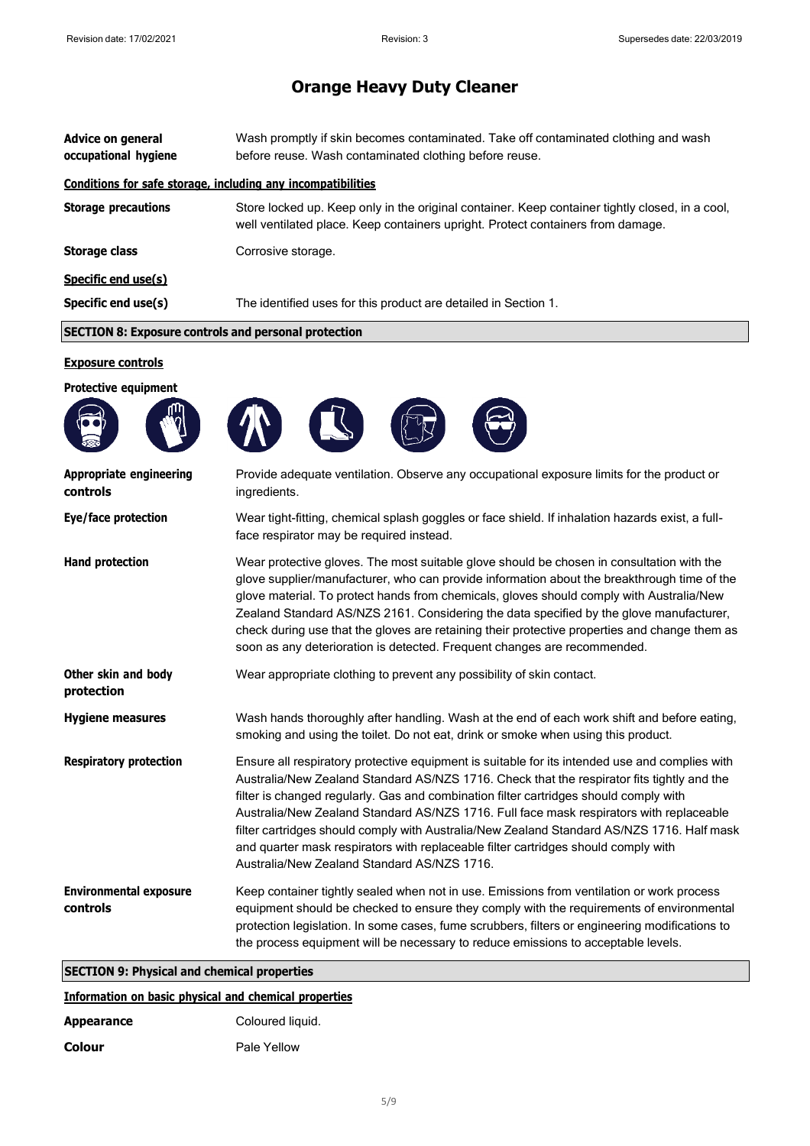| Advice on general<br>occupational hygiene                    | Wash promptly if skin becomes contaminated. Take off contaminated clothing and wash<br>before reuse. Wash contaminated clothing before reuse.                                      |
|--------------------------------------------------------------|------------------------------------------------------------------------------------------------------------------------------------------------------------------------------------|
| Conditions for safe storage, including any incompatibilities |                                                                                                                                                                                    |
| <b>Storage precautions</b>                                   | Store locked up. Keep only in the original container. Keep container tightly closed, in a cool,<br>well ventilated place. Keep containers upright. Protect containers from damage. |
| <b>Storage class</b>                                         | Corrosive storage.                                                                                                                                                                 |
| Specific end use(s)                                          |                                                                                                                                                                                    |
| Specific end use(s)                                          | The identified uses for this product are detailed in Section 1.                                                                                                                    |
| <b>SECTION 8: Exposure controls and personal protection</b>  |                                                                                                                                                                                    |

### **Exposure controls**

| <b>Protective equipment</b>                |                                                                                                                                                                                                                                                                                                                                                                                                                                                                                                                                                                                                                     |
|--------------------------------------------|---------------------------------------------------------------------------------------------------------------------------------------------------------------------------------------------------------------------------------------------------------------------------------------------------------------------------------------------------------------------------------------------------------------------------------------------------------------------------------------------------------------------------------------------------------------------------------------------------------------------|
| <b>Appropriate engineering</b><br>controls | Provide adequate ventilation. Observe any occupational exposure limits for the product or<br>ingredients.                                                                                                                                                                                                                                                                                                                                                                                                                                                                                                           |
| Eye/face protection                        | Wear tight-fitting, chemical splash goggles or face shield. If inhalation hazards exist, a full-<br>face respirator may be required instead.                                                                                                                                                                                                                                                                                                                                                                                                                                                                        |
| <b>Hand protection</b>                     | Wear protective gloves. The most suitable glove should be chosen in consultation with the<br>glove supplier/manufacturer, who can provide information about the breakthrough time of the<br>glove material. To protect hands from chemicals, gloves should comply with Australia/New<br>Zealand Standard AS/NZS 2161. Considering the data specified by the glove manufacturer,<br>check during use that the gloves are retaining their protective properties and change them as<br>soon as any deterioration is detected. Frequent changes are recommended.                                                        |
| Other skin and body<br>protection          | Wear appropriate clothing to prevent any possibility of skin contact.                                                                                                                                                                                                                                                                                                                                                                                                                                                                                                                                               |
| <b>Hygiene measures</b>                    | Wash hands thoroughly after handling. Wash at the end of each work shift and before eating,<br>smoking and using the toilet. Do not eat, drink or smoke when using this product.                                                                                                                                                                                                                                                                                                                                                                                                                                    |
| <b>Respiratory protection</b>              | Ensure all respiratory protective equipment is suitable for its intended use and complies with<br>Australia/New Zealand Standard AS/NZS 1716. Check that the respirator fits tightly and the<br>filter is changed regularly. Gas and combination filter cartridges should comply with<br>Australia/New Zealand Standard AS/NZS 1716. Full face mask respirators with replaceable<br>filter cartridges should comply with Australia/New Zealand Standard AS/NZS 1716. Half mask<br>and quarter mask respirators with replaceable filter cartridges should comply with<br>Australia/New Zealand Standard AS/NZS 1716. |
| <b>Environmental exposure</b><br>controls  | Keep container tightly sealed when not in use. Emissions from ventilation or work process<br>equipment should be checked to ensure they comply with the requirements of environmental<br>protection legislation. In some cases, fume scrubbers, filters or engineering modifications to<br>the process equipment will be necessary to reduce emissions to acceptable levels.                                                                                                                                                                                                                                        |

## **SECTION 9: Physical and chemical properties**

## **Information on basic physical and chemical properties**

| <b>Appearance</b> | Coloured liquid. |
|-------------------|------------------|
| <b>Colour</b>     | Pale Yellow      |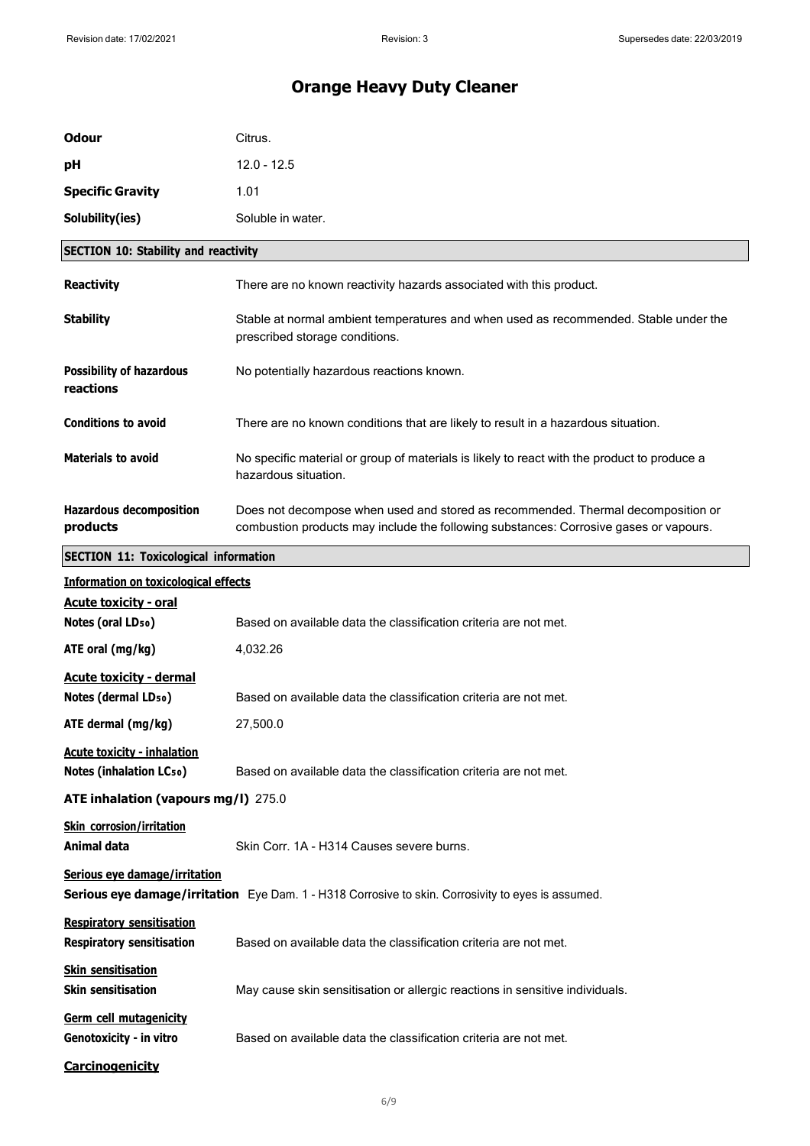| <b>Odour</b>                                                                                                                               | Citrus.                                                                                                                                                                   |
|--------------------------------------------------------------------------------------------------------------------------------------------|---------------------------------------------------------------------------------------------------------------------------------------------------------------------------|
| рH                                                                                                                                         | $12.0 - 12.5$                                                                                                                                                             |
| <b>Specific Gravity</b>                                                                                                                    | 1.01                                                                                                                                                                      |
| Solubility(ies)                                                                                                                            | Soluble in water.                                                                                                                                                         |
| <b>SECTION 10: Stability and reactivity</b>                                                                                                |                                                                                                                                                                           |
| <b>Reactivity</b>                                                                                                                          | There are no known reactivity hazards associated with this product.                                                                                                       |
| <b>Stability</b>                                                                                                                           | Stable at normal ambient temperatures and when used as recommended. Stable under the<br>prescribed storage conditions.                                                    |
| <b>Possibility of hazardous</b><br>reactions                                                                                               | No potentially hazardous reactions known.                                                                                                                                 |
| <b>Conditions to avoid</b>                                                                                                                 | There are no known conditions that are likely to result in a hazardous situation.                                                                                         |
| <b>Materials to avoid</b>                                                                                                                  | No specific material or group of materials is likely to react with the product to produce a<br>hazardous situation.                                                       |
| <b>Hazardous decomposition</b><br>products                                                                                                 | Does not decompose when used and stored as recommended. Thermal decomposition or<br>combustion products may include the following substances: Corrosive gases or vapours. |
| <b>SECTION 11: Toxicological information</b>                                                                                               |                                                                                                                                                                           |
| <b>Information on toxicological effects</b>                                                                                                |                                                                                                                                                                           |
| <b>Acute toxicity - oral</b><br>Notes (oral LD <sub>50</sub> )                                                                             | Based on available data the classification criteria are not met.                                                                                                          |
| ATE oral (mg/kg)                                                                                                                           | 4,032.26                                                                                                                                                                  |
|                                                                                                                                            |                                                                                                                                                                           |
| <b>Acute toxicity - dermal</b><br>Notes (dermal LD <sub>50</sub> )                                                                         | Based on available data the classification criteria are not met.                                                                                                          |
| ATE dermal (mg/kg)                                                                                                                         | 27,500.0                                                                                                                                                                  |
| <b>Acute toxicity - inhalation</b>                                                                                                         |                                                                                                                                                                           |
| <b>Notes (inhalation LCso)</b>                                                                                                             | Based on available data the classification criteria are not met.                                                                                                          |
| ATE inhalation (vapours mg/l) 275.0                                                                                                        |                                                                                                                                                                           |
| <b>Skin corrosion/irritation</b><br>Animal data                                                                                            | Skin Corr. 1A - H314 Causes severe burns.                                                                                                                                 |
| Serious eye damage/irritation<br><b>Serious eye damage/irritation</b> Eye Dam. 1 - H318 Corrosive to skin. Corrosivity to eyes is assumed. |                                                                                                                                                                           |
| <b>Respiratory sensitisation</b><br><b>Respiratory sensitisation</b>                                                                       | Based on available data the classification criteria are not met.                                                                                                          |
| <b>Skin sensitisation</b><br><b>Skin sensitisation</b>                                                                                     | May cause skin sensitisation or allergic reactions in sensitive individuals.                                                                                              |
| Germ cell mutagenicity<br>Genotoxicity - in vitro                                                                                          | Based on available data the classification criteria are not met.                                                                                                          |
| <b>Carcinogenicity</b>                                                                                                                     |                                                                                                                                                                           |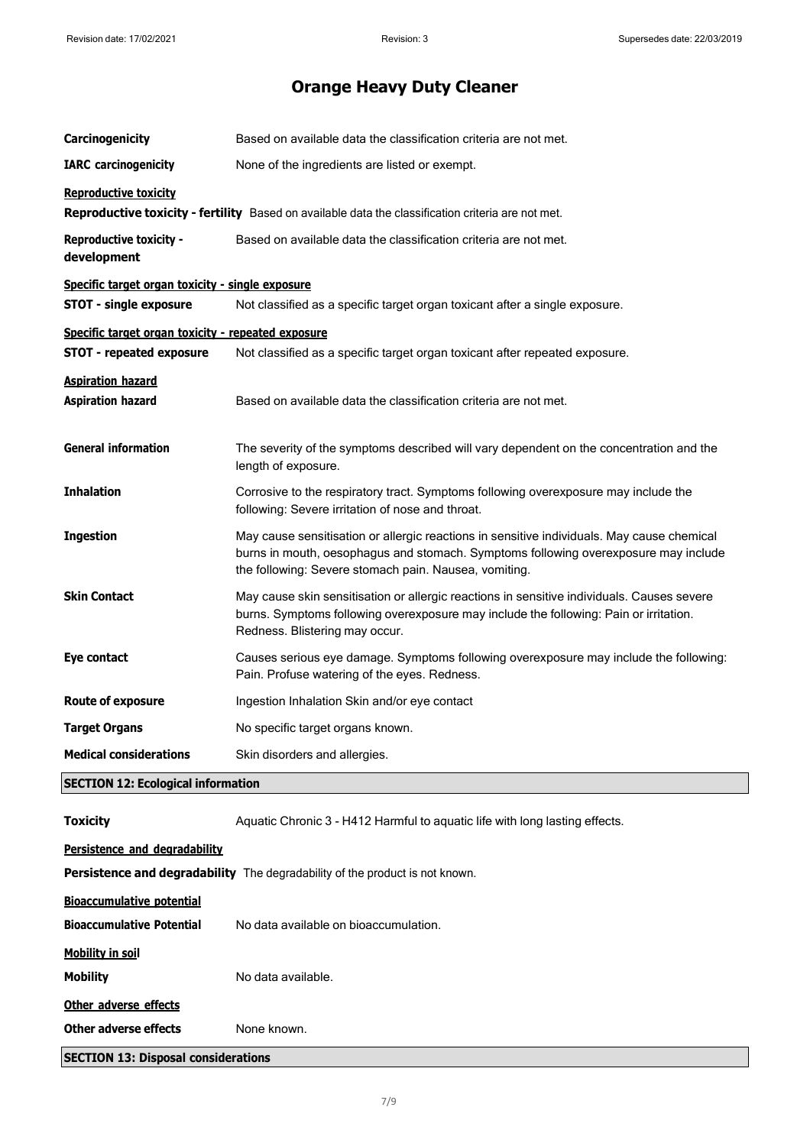| Carcinogenicity                                                                                                                    | Based on available data the classification criteria are not met.                                                                                                                                                                           |  |
|------------------------------------------------------------------------------------------------------------------------------------|--------------------------------------------------------------------------------------------------------------------------------------------------------------------------------------------------------------------------------------------|--|
| <b>IARC</b> carcinogenicity                                                                                                        | None of the ingredients are listed or exempt.                                                                                                                                                                                              |  |
| <b>Reproductive toxicity</b><br>Reproductive toxicity - fertility Based on available data the classification criteria are not met. |                                                                                                                                                                                                                                            |  |
| <b>Reproductive toxicity -</b><br>development                                                                                      | Based on available data the classification criteria are not met.                                                                                                                                                                           |  |
| Specific target organ toxicity - single exposure                                                                                   |                                                                                                                                                                                                                                            |  |
| <b>STOT - single exposure</b>                                                                                                      | Not classified as a specific target organ toxicant after a single exposure.                                                                                                                                                                |  |
| Specific target organ toxicity - repeated exposure                                                                                 |                                                                                                                                                                                                                                            |  |
| <b>STOT - repeated exposure</b>                                                                                                    | Not classified as a specific target organ toxicant after repeated exposure.                                                                                                                                                                |  |
| <b>Aspiration hazard</b><br><b>Aspiration hazard</b>                                                                               | Based on available data the classification criteria are not met.                                                                                                                                                                           |  |
| <b>General information</b>                                                                                                         | The severity of the symptoms described will vary dependent on the concentration and the<br>length of exposure.                                                                                                                             |  |
| <b>Inhalation</b>                                                                                                                  | Corrosive to the respiratory tract. Symptoms following overexposure may include the<br>following: Severe irritation of nose and throat.                                                                                                    |  |
| <b>Ingestion</b>                                                                                                                   | May cause sensitisation or allergic reactions in sensitive individuals. May cause chemical<br>burns in mouth, oesophagus and stomach. Symptoms following overexposure may include<br>the following: Severe stomach pain. Nausea, vomiting. |  |
| <b>Skin Contact</b>                                                                                                                | May cause skin sensitisation or allergic reactions in sensitive individuals. Causes severe<br>burns. Symptoms following overexposure may include the following: Pain or irritation.<br>Redness. Blistering may occur.                      |  |
| Eye contact                                                                                                                        | Causes serious eye damage. Symptoms following overexposure may include the following:<br>Pain. Profuse watering of the eyes. Redness.                                                                                                      |  |
| <b>Route of exposure</b>                                                                                                           | Ingestion Inhalation Skin and/or eye contact                                                                                                                                                                                               |  |
| <b>Target Organs</b>                                                                                                               | No specific target organs known.                                                                                                                                                                                                           |  |
| <b>Medical considerations</b>                                                                                                      | Skin disorders and allergies.                                                                                                                                                                                                              |  |
| <b>SECTION 12: Ecological information</b>                                                                                          |                                                                                                                                                                                                                                            |  |
| <b>Toxicity</b>                                                                                                                    | Aquatic Chronic 3 - H412 Harmful to aquatic life with long lasting effects.                                                                                                                                                                |  |
| Persistence and degradability<br>Persistence and degradability The degradability of the product is not known.                      |                                                                                                                                                                                                                                            |  |
| <b>Bioaccumulative potential</b>                                                                                                   |                                                                                                                                                                                                                                            |  |
| <b>Bioaccumulative Potential</b>                                                                                                   | No data available on bioaccumulation.                                                                                                                                                                                                      |  |
| <b>Mobility in soil</b>                                                                                                            |                                                                                                                                                                                                                                            |  |
| <b>Mobility</b>                                                                                                                    | No data available.                                                                                                                                                                                                                         |  |
| Other adverse effects                                                                                                              |                                                                                                                                                                                                                                            |  |
| <b>Other adverse effects</b>                                                                                                       | None known.                                                                                                                                                                                                                                |  |
| <b>SECTION 13: Disposal considerations</b>                                                                                         |                                                                                                                                                                                                                                            |  |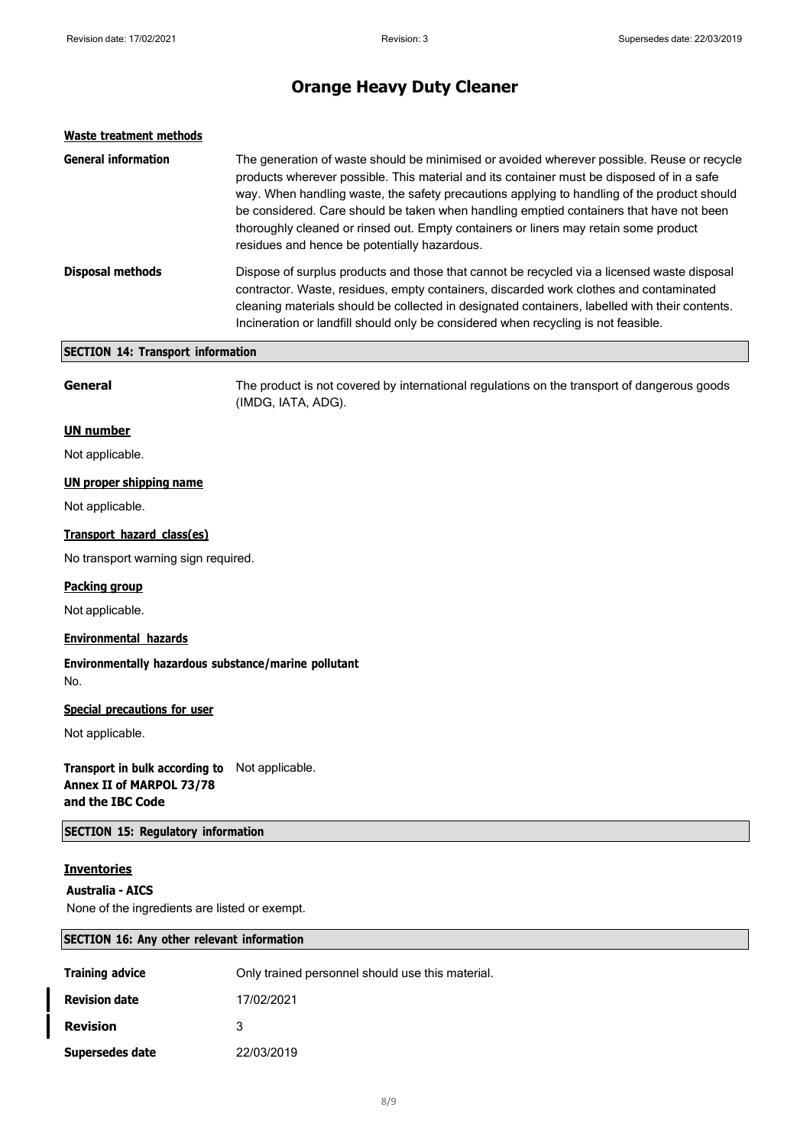| Waste treatment methods    |                                                                                                                                                                                                                                                                                                                                                                                                                                                                                                                           |
|----------------------------|---------------------------------------------------------------------------------------------------------------------------------------------------------------------------------------------------------------------------------------------------------------------------------------------------------------------------------------------------------------------------------------------------------------------------------------------------------------------------------------------------------------------------|
| <b>General information</b> | The generation of waste should be minimised or avoided wherever possible. Reuse or recycle<br>products wherever possible. This material and its container must be disposed of in a safe<br>way. When handling waste, the safety precautions applying to handling of the product should<br>be considered. Care should be taken when handling emptied containers that have not been<br>thoroughly cleaned or rinsed out. Empty containers or liners may retain some product<br>residues and hence be potentially hazardous. |
| <b>Disposal methods</b>    | Dispose of surplus products and those that cannot be recycled via a licensed waste disposal<br>contractor. Waste, residues, empty containers, discarded work clothes and contaminated<br>cleaning materials should be collected in designated containers, labelled with their contents.<br>Incineration or landfill should only be considered when recycling is not feasible.                                                                                                                                             |

## **SECTION 14: Transport information**

**General** The product is not covered by international regulations on the transport of dangerous goods (IMDG, IATA, ADG).

#### **UN number**

Not applicable.

### **UN proper shipping name**

Not applicable.

### **Transport hazard class(es)**

No transport warning sign required.

### **Packing group**

Not applicable.

### **Environmental hazards**

**Environmentally hazardous substance/marine pollutant** No.

#### **Special precautions for user**

Not applicable.

**Transport in bulk according to** Not applicable. **Annex II of MARPOL 73/78 and the IBC Code**

**SECTION 15: Regulatory information**

### **Inventories**

#### **Australia - AICS**

None of the ingredients are listed or exempt.

### **SECTION 16: Any other relevant information**

| <b>Training advice</b> | Only trained personnel should use this material. |
|------------------------|--------------------------------------------------|
| <b>Revision date</b>   | 17/02/2021                                       |
| <b>Revision</b>        | 3                                                |
| Supersedes date        | 22/03/2019                                       |